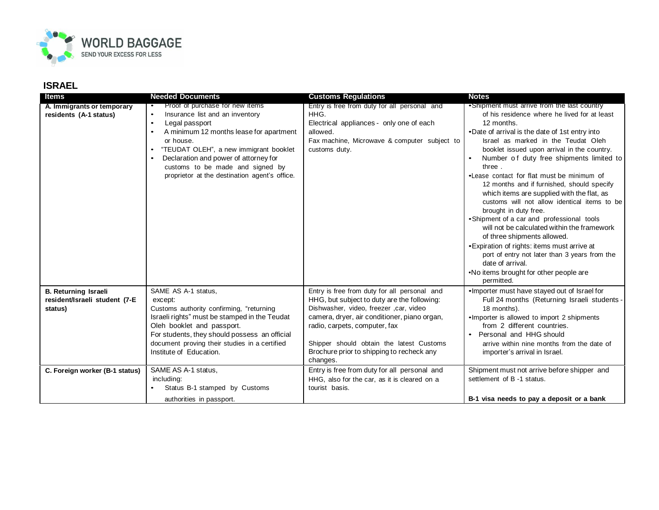

## **ISRAEL**

| Items                                                                   | <b>Needed Documents</b>                                                                                                                                                                                                                                                                                                                                                  | <b>Customs Regulations</b>                                                                                                                                                                                                                                                                                                   | <b>Notes</b>                                                                                                                                                                                                                                                                                                                                                                                                                                                                                                                                                                                                                                                                                                                                                                                                                         |
|-------------------------------------------------------------------------|--------------------------------------------------------------------------------------------------------------------------------------------------------------------------------------------------------------------------------------------------------------------------------------------------------------------------------------------------------------------------|------------------------------------------------------------------------------------------------------------------------------------------------------------------------------------------------------------------------------------------------------------------------------------------------------------------------------|--------------------------------------------------------------------------------------------------------------------------------------------------------------------------------------------------------------------------------------------------------------------------------------------------------------------------------------------------------------------------------------------------------------------------------------------------------------------------------------------------------------------------------------------------------------------------------------------------------------------------------------------------------------------------------------------------------------------------------------------------------------------------------------------------------------------------------------|
| A. Immigrants or temporary<br>residents (A-1 status)                    | Proof of purchase for new items<br>$\bullet$<br>Insurance list and an inventory<br>$\bullet$<br>Legal passport<br>$\bullet$<br>A minimum 12 months lease for apartment<br>$\bullet$<br>or house.<br>"TEUDAT OLEH", a new immigrant booklet<br>Declaration and power of attorney for<br>customs to be made and signed by<br>proprietor at the destination agent's office. | Entry is free from duty for all personal and<br>HHG.<br>Electrical appliances - only one of each<br>allowed.<br>Fax machine, Microwave & computer subject to<br>customs duty.                                                                                                                                                | •Shipment must arrive from the last country<br>of his residence where he lived for at least<br>12 months.<br>•Date of arrival is the date of 1st entry into<br>Israel as marked in the Teudat Oleh<br>booklet issued upon arrival in the country.<br>Number of duty free shipments limited to<br>three.<br>•Lease contact for flat must be minimum of<br>12 months and if furnished, should specify<br>which items are supplied with the flat, as<br>customs will not allow identical items to be<br>brought in duty free.<br>• Shipment of a car and professional tools<br>will not be calculated within the framework<br>of three shipments allowed.<br>• Expiration of rights: items must arrive at<br>port of entry not later than 3 years from the<br>date of arrival.<br>. No items brought for other people are<br>permitted. |
| <b>B. Returning Israeli</b><br>resident/Israeli student (7-E<br>status) | SAME AS A-1 status,<br>except:<br>Customs authority confirming, "returning<br>Israeli rights" must be stamped in the Teudat<br>Oleh booklet and passport.<br>For students, they should possess an official<br>document proving their studies in a certified<br>Institute of Education.                                                                                   | Entry is free from duty for all personal and<br>HHG, but subject to duty are the following:<br>Dishwasher, video, freezer , car, video<br>camera, dryer, air conditioner, piano organ,<br>radio, carpets, computer, fax<br>Shipper should obtain the latest Customs<br>Brochure prior to shipping to recheck any<br>changes. | . Importer must have stayed out of Israel for<br>Full 24 months (Returning Israeli students -<br>18 months).<br>•Importer is allowed to import 2 shipments<br>from 2 different countries.<br>Personal and HHG should<br>arrive within nine months from the date of<br>importer's arrival in Israel.                                                                                                                                                                                                                                                                                                                                                                                                                                                                                                                                  |
| C. Foreign worker (B-1 status)                                          | SAME AS A-1 status,<br>including:<br>Status B-1 stamped by Customs<br>authorities in passport.                                                                                                                                                                                                                                                                           | Entry is free from duty for all personal and<br>HHG, also for the car, as it is cleared on a<br>tourist basis.                                                                                                                                                                                                               | Shipment must not arrive before shipper and<br>settlement of B -1 status.<br>B-1 visa needs to pay a deposit or a bank                                                                                                                                                                                                                                                                                                                                                                                                                                                                                                                                                                                                                                                                                                               |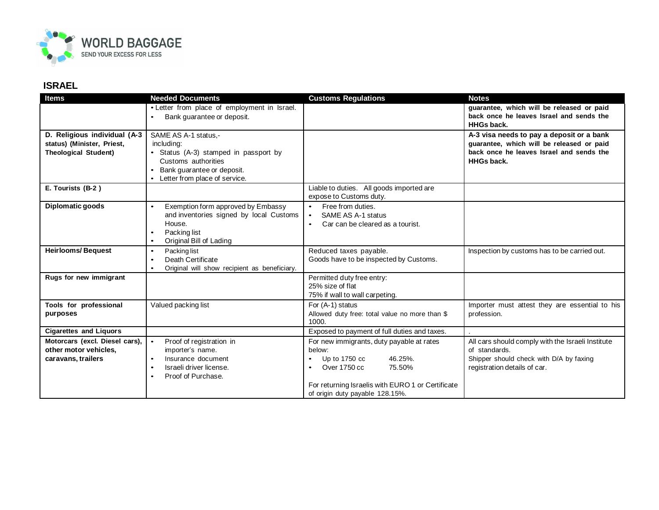

## **ISRAEL**

| <b>Items</b>                                                                              | <b>Needed Documents</b>                                                                                                                                                   | <b>Customs Regulations</b>                                                                                                                                                            | <b>Notes</b>                                                                                                                                            |
|-------------------------------------------------------------------------------------------|---------------------------------------------------------------------------------------------------------------------------------------------------------------------------|---------------------------------------------------------------------------------------------------------------------------------------------------------------------------------------|---------------------------------------------------------------------------------------------------------------------------------------------------------|
|                                                                                           | • Letter from place of employment in Israel.<br>Bank quarantee or deposit.                                                                                                |                                                                                                                                                                                       | guarantee, which will be released or paid<br>back once he leaves Israel and sends the<br><b>HHGs back.</b>                                              |
| D. Religious individual (A-3<br>status) (Minister, Priest,<br><b>Theological Student)</b> | SAME AS A-1 status.-<br>including:<br>Status (A-3) stamped in passport by<br>Customs authorities<br>Bank guarantee or deposit.<br>Letter from place of service.           |                                                                                                                                                                                       | A-3 visa needs to pay a deposit or a bank<br>guarantee, which will be released or paid<br>back once he leaves Israel and sends the<br><b>HHGs back.</b> |
| E. Tourists (B-2)                                                                         |                                                                                                                                                                           | Liable to duties. All goods imported are<br>expose to Customs duty.                                                                                                                   |                                                                                                                                                         |
| Diplomatic goods                                                                          | Exemption form approved by Embassy<br>$\bullet$<br>and inventories signed by local Customs<br>House.<br>Packing list<br>$\bullet$<br>Original Bill of Lading<br>$\bullet$ | Free from duties.<br>$\bullet$<br>SAME AS A-1 status<br>$\bullet$<br>Car can be cleared as a tourist.<br>$\bullet$                                                                    |                                                                                                                                                         |
| <b>Heirlooms/Bequest</b>                                                                  | Packing list<br>$\bullet$<br>Death Certificate<br>$\bullet$<br>Original will show recipient as beneficiary.<br>$\bullet$                                                  | Reduced taxes payable.<br>Goods have to be inspected by Customs.                                                                                                                      | Inspection by customs has to be carried out.                                                                                                            |
| Rugs for new immigrant                                                                    |                                                                                                                                                                           | Permitted duty free entry:<br>25% size of flat<br>75% if wall to wall carpeting.                                                                                                      |                                                                                                                                                         |
| Tools for professional<br>purposes                                                        | Valued packing list                                                                                                                                                       | For (A-1) status<br>Allowed duty free: total value no more than \$<br>1000.                                                                                                           | Importer must attest they are essential to his<br>profession.                                                                                           |
| <b>Cigarettes and Liquors</b>                                                             |                                                                                                                                                                           | Exposed to payment of full duties and taxes.                                                                                                                                          |                                                                                                                                                         |
| Motorcars (excl. Diesel cars),<br>other motor vehicles.<br>caravans, trailers             | Proof of registration in<br>$\bullet$<br>importer's name.<br>Insurance document<br>$\bullet$<br>Israeli driver license.<br>$\bullet$<br>Proof of Purchase.<br>$\bullet$   | For new immigrants, duty payable at rates<br>below:<br>46.25%.<br>Up to $1750 \text{ cc}$<br>Over 1750 cc<br>75.50%<br>$\bullet$<br>For returning Israelis with EURO 1 or Certificate | All cars should comply with the Israeli Institute<br>of standards.<br>Shipper should check with D/A by faxing<br>registration details of car.           |
|                                                                                           |                                                                                                                                                                           | of origin duty payable 128.15%.                                                                                                                                                       |                                                                                                                                                         |